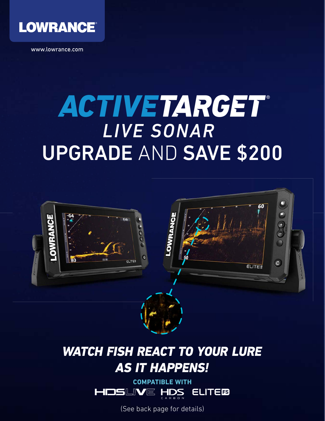

www.lowrance.com

## UPGRADE AND SAVE \$200 ACTIVETARGET *LIVE SONAR*



## WATCH FISH REACT TO YOUR LURE AS IT HAPPENS!



(See back page for details)